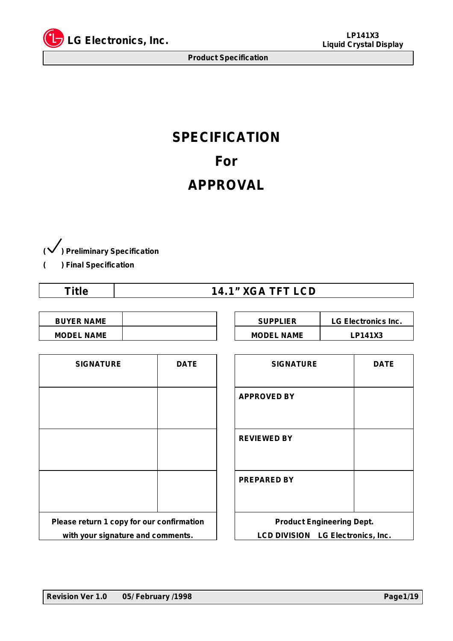

# **SPECIFICATION For APPROVAL**

**( ) Preliminary Specification**

**( ) Final Specification**

| <b>14.1" XGA TFT LCD</b> |
|--------------------------|
|                          |

| <b>BUYER NAME</b> |  | <b>SUPPLIER</b>   | <b>LG Electronic</b> |
|-------------------|--|-------------------|----------------------|
| <b>MODEL NAME</b> |  | <b>MODEL NAME</b> | LP141X3              |

| <b>BUYER NAME</b> | <b>SUPPLIER</b>   | <b>LG Electronics Inc.</b> |
|-------------------|-------------------|----------------------------|
| <b>MODEL NAME</b> | <b>MODEL NAME</b> | LP141X3                    |

| <b>SIGNATURE</b>                          | <b>DATE</b> |  |  |  |  |
|-------------------------------------------|-------------|--|--|--|--|
|                                           |             |  |  |  |  |
|                                           |             |  |  |  |  |
|                                           |             |  |  |  |  |
|                                           |             |  |  |  |  |
|                                           |             |  |  |  |  |
| Please return 1 copy for our confirmation |             |  |  |  |  |
| with your signature and comments.         |             |  |  |  |  |

| <b>SIGNATURE</b>                   | <b>DATE</b> | <b>SIGNATURE</b>                  | <b>DATE</b> |
|------------------------------------|-------------|-----------------------------------|-------------|
|                                    |             | <b>APPROVED BY</b>                |             |
|                                    |             |                                   |             |
|                                    |             | <b>REVIEWED BY</b>                |             |
|                                    |             |                                   |             |
|                                    |             | <b>PREPARED BY</b>                |             |
|                                    |             |                                   |             |
| return 1 copy for our confirmation |             | <b>Product Engineering Dept.</b>  |             |
| n your signature and comments.     |             | LCD DIVISION LG Electronics, Inc. |             |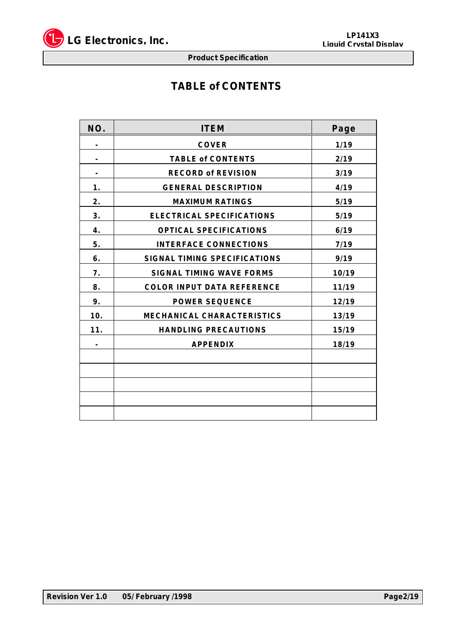

## **TABLE of CONTENTS**

| NO.            | <b>ITEM</b>                         | Page  |
|----------------|-------------------------------------|-------|
|                | <b>COVER</b>                        | 1/19  |
|                | <b>TABLE of CONTENTS</b>            | 2/19  |
|                | <b>RECORD of REVISION</b>           | 3/19  |
| 1.             | <b>GENERAL DESCRIPTION</b>          | 4/19  |
| 2.             | <b>MAXIMUM RATINGS</b>              | 5/19  |
| 3.             | <b>ELECTRICAL SPECIFICATIONS</b>    | 5/19  |
| 4.             | <b>OPTICAL SPECIFICATIONS</b>       | 6/19  |
| 5.             | <b>INTERFACE CONNECTIONS</b>        | 7/19  |
| 6.             | <b>SIGNAL TIMING SPECIFICATIONS</b> | 9/19  |
| 7.             | <b>SIGNAL TIMING WAVE FORMS</b>     | 10/19 |
| 8.             | <b>COLOR INPUT DATA REFERENCE</b>   | 11/19 |
| 9.             | <b>POWER SEQUENCE</b>               | 12/19 |
| 10.            | <b>MECHANICAL CHARACTERISTICS</b>   | 13/19 |
| 11.            | <b>HANDLING PRECAUTIONS</b>         | 15/19 |
| $\blacksquare$ | <b>APPENDIX</b>                     | 18/19 |
|                |                                     |       |
|                |                                     |       |
|                |                                     |       |
|                |                                     |       |
|                |                                     |       |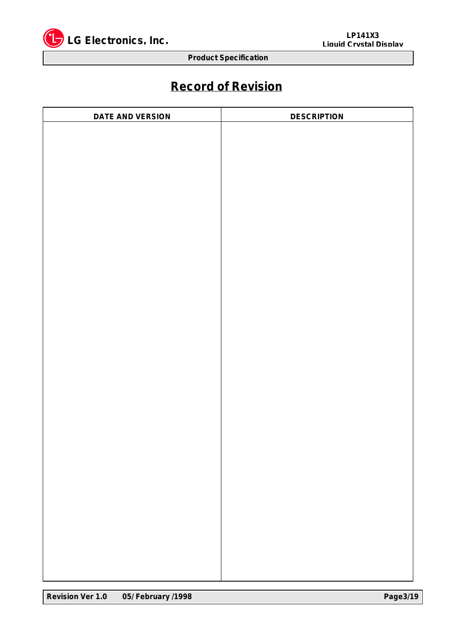

## **Record of Revision**

| <b>DESCRIPTION</b> |
|--------------------|
|                    |
|                    |
|                    |
|                    |
|                    |
|                    |
|                    |
|                    |
|                    |
|                    |
|                    |
|                    |
|                    |
|                    |
|                    |
|                    |
|                    |
|                    |
|                    |
|                    |
|                    |
|                    |
|                    |
|                    |
|                    |
|                    |
|                    |
|                    |
|                    |
|                    |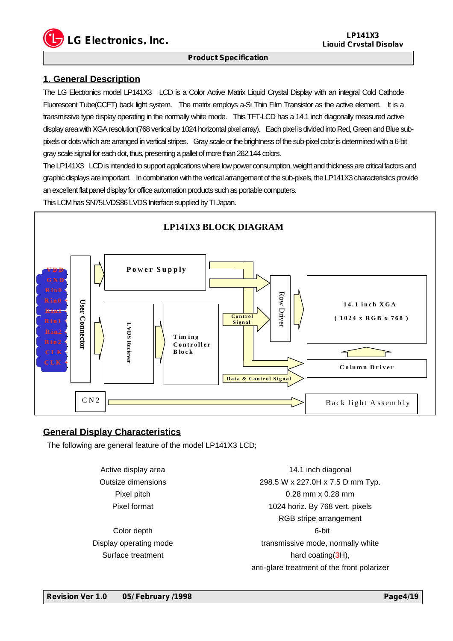**LG Electronics, Inc. LP141X3**

#### **Product Specification**

## **1. General Description**

The LG Electronics model LP141X3 LCD is a Color Active Matrix Liquid Crystal Display with an integral Cold Cathode Fluorescent Tube(CCFT) back light system. The matrix employs a-Si Thin Film Transistor as the active element. It is a transmissive type display operating in the normally white mode. This TFT-LCD has a 14.1 inch diagonally measured active display area with XGA resolution(768 vertical by 1024 horizontal pixel array). Each pixel is divided into Red, Green and Blue subpixels or dots which are arranged in vertical stripes. Gray scale or the brightness of the sub-pixel color is determined with a 6-bit gray scale signal for each dot, thus, presenting a pallet of more than 262,144 colors.

The LP141X3 LCD is intended to support applications where low power consumption, weight and thickness are critical factors and graphic displays are important. In combination with the vertical arrangement of the sub-pixels, the LP141X3 characteristics provide an excellent flat panel display for office automation products such as portable computers.

This LCM has SN75LVDS86 LVDS Interface supplied by TI Japan.



## **General Display Characteristics**

The following are general feature of the model LP141X3 LCD;

Active display area Outsize dimensions Pixel pitch Pixel format

Color depth Display operating mode Surface treatment

14.1 inch diagonal 298.5 W x 227.0H x 7.5 D mm Typ. 0.28 mm x 0.28 mm 1024 horiz. By 768 vert. pixels RGB stripe arrangement 6-bit transmissive mode, normally white hard coating(3H), anti-glare treatment of the front polarizer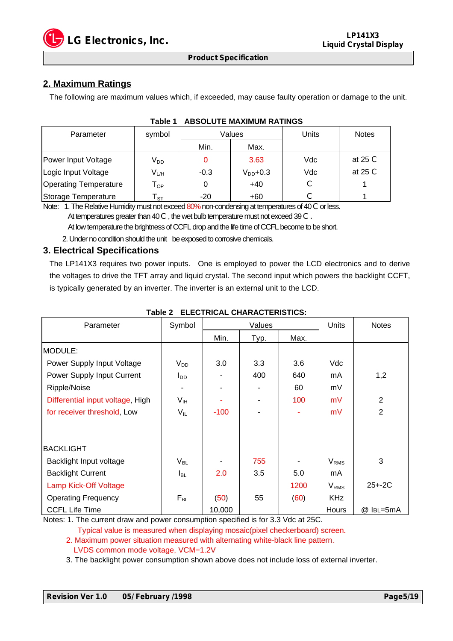

## **2. Maximum Ratings**

The following are maximum values which, if exceeded, may cause faulty operation or damage to the unit.

| Parameter                    | symbol                      |        | Values        | Units | <b>Notes</b> |
|------------------------------|-----------------------------|--------|---------------|-------|--------------|
|                              |                             | Min.   | Max.          |       |              |
| Power Input Voltage          | $V_{DD}$                    |        | 3.63          | Vdc   | at 25 $C$    |
| Logic Input Voltage          | V <sub>L/H</sub>            | $-0.3$ | $V_{DD}$ +0.3 | Vdc   | at $25c$     |
| <b>Operating Temperature</b> | ${\mathsf T}_{\textsf{OP}}$ |        | $+40$         |       |              |
| Storage Temperature          | ' ST                        | -20    | $+60$         |       |              |

#### **Table 1 ABSOLUTE MAXIMUM RATINGS**

Note: 1. The Relative Humidity must not exceed 80% non-condensing at temperatures of 40 C or less. At temperatures greater than 40 C, the wet bulb temperature must not exceed 39 C.

At low temperature the brightness of CCFL drop and the life time of CCFL become to be short.

2. Under no condition should the unit be exposed to corrosive chemicals.

## **3. Electrical Specifications**

The LP141X3 requires two power inputs. One is employed to power the LCD electronics and to derive the voltages to drive the TFT array and liquid crystal. The second input which powers the backlight CCFT, is typically generated by an inverter. The inverter is an external unit to the LCD.

| Parameter                        | Symbol          | Values |      |      | Units                  | <b>Notes</b>   |
|----------------------------------|-----------------|--------|------|------|------------------------|----------------|
|                                  |                 | Min.   | Typ. | Max. |                        |                |
| MODULE:                          |                 |        |      |      |                        |                |
| Power Supply Input Voltage       | $V_{DD}$        | 3.0    | 3.3  | 3.6  | Vdc                    |                |
| Power Supply Input Current       | $I_{DD}$        |        | 400  | 640  | mA                     | 1,2            |
| Ripple/Noise                     |                 |        |      | 60   | mV                     |                |
| Differential input voltage, High | V <sub>IH</sub> |        |      | 100  | mV                     | $\overline{2}$ |
| for receiver threshold, Low      | $V_{IL}$        | $-100$ |      |      | mV                     | $\overline{2}$ |
| <b>BACKLIGHT</b>                 |                 |        |      |      |                        |                |
| Backlight Input voltage          | $V_{BL}$        |        | 755  |      | $V_{RMS}$              | 3              |
| <b>Backlight Current</b>         | I <sub>BL</sub> | 2.0    | 3.5  | 5.0  | mA                     |                |
| <b>Lamp Kick-Off Voltage</b>     |                 |        |      | 1200 | <b>V<sub>RMS</sub></b> | $25 + -2C$     |
| <b>Operating Frequency</b>       | $F_{BL}$        | (50)   | 55   | (60) | <b>KHz</b>             |                |
| <b>CCFL Life Time</b>            |                 | 10,000 |      |      | Hours                  | @ IBL=5mA      |

## **Table 2 ELECTRICAL CHARACTERISTICS:**

Notes: 1. The current draw and power consumption specified is for 3.3 Vdc at 25C.

Typical value is measured when displaying mosaic(pixel checkerboard) screen.

 2. Maximum power situation measured with alternating white-black line pattern. LVDS common mode voltage, VCM=1.2V

3. The backlight power consumption shown above does not include loss of external inverter.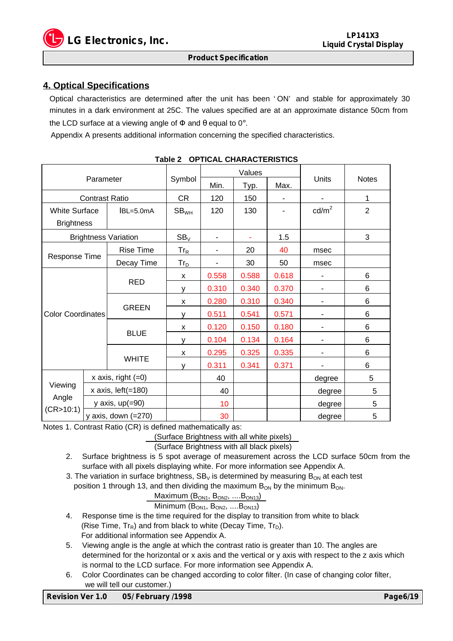

## **4. Optical Specifications**

Optical characteristics are determined after the unit has been ' ON' and stable for approximately 30 minutes in a dark environment at 25C. The values specified are at an approximate distance 50cm from the LCD surface at a viewing angle of  $\Phi$  and  $\theta$  equal to 0°.

Appendix A presents additional information concerning the specified characteristics.

|                          |                       |                             | 01 110AL 011ARAO 1 LAIO 1100 | Values |       |       | <b>Units</b>      | <b>Notes</b>   |
|--------------------------|-----------------------|-----------------------------|------------------------------|--------|-------|-------|-------------------|----------------|
| Parameter                |                       | Symbol                      | Min.                         | Typ.   | Max.  |       |                   |                |
|                          | <b>Contrast Ratio</b> |                             | <b>CR</b>                    | 120    | 150   |       |                   | 1              |
| <b>White Surface</b>     |                       | $ BL = 5.0$ m $A$           | SB <sub>WH</sub>             | 120    | 130   |       | cd/m <sup>2</sup> | $\overline{2}$ |
| <b>Brightness</b>        |                       |                             |                              |        |       |       |                   |                |
|                          |                       | <b>Brightness Variation</b> | $SB_V$                       |        |       | 1.5   |                   | 3              |
|                          |                       | Rise Time                   | $Tr_R$                       |        | 20    | 40    | msec              |                |
| Response Time            |                       | Decay Time                  | $Tr_{\underline{D}}$         |        | 30    | 50    | msec              |                |
|                          | <b>RED</b>            | X                           | 0.558                        | 0.588  | 0.618 |       | 6                 |                |
|                          |                       | V                           | 0.310                        | 0.340  | 0.370 | ٠     | 6                 |                |
|                          |                       | <b>GREEN</b>                | X                            | 0.280  | 0.310 | 0.340 | ٠                 | 6              |
| <b>Color Coordinates</b> |                       |                             | У                            | 0.511  | 0.541 | 0.571 |                   | 6              |
|                          |                       | X                           | 0.120                        | 0.150  | 0.180 | -     | 6                 |                |
|                          |                       | <b>BLUE</b>                 | V                            | 0.104  | 0.134 | 0.164 | -                 | 6              |
|                          |                       |                             | X                            | 0.295  | 0.325 | 0.335 |                   | 6              |
|                          |                       | <b>WHITE</b>                | v                            | 0.311  | 0.341 | 0.371 |                   | 6              |
|                          |                       | x axis, right $(=0)$        |                              | 40     |       |       | degree            | 5              |
| Viewing                  |                       | x axis, $left( =180$        |                              | 40     |       |       | degree            | 5              |
| Angle                    |                       | y axis, $up(=90)$           |                              | 10     |       |       | degree            | 5              |
| (CR > 10:1)              |                       | y axis, down $(=270)$       |                              | 30     |       |       | degree            | 5              |

| Table 2 OPTICAL CHARACTERISTICS |  |
|---------------------------------|--|
|---------------------------------|--|

Notes 1. Contrast Ratio (CR) is defined mathematically as:

(Surface Brightness with all white pixels)

(Surface Brightness with all black pixels)

- 2. Surface brightness is 5 spot average of measurement across the LCD surface 50cm from the surface with all pixels displaying white. For more information see Appendix A.
- 3. The variation in surface brightness,  $SB<sub>V</sub>$  is determined by measuring  $B<sub>ON</sub>$  at each test position 1 through 13, and then dividing the maximum  $B_{ON}$  by the minimum  $B_{ON}$ .

$$
\mathsf{Maximum} (B_{ON1}, B_{ON2}, \ldots, B_{ON13})
$$

$$
Minimum (B_{ON1}, B_{ON2}, .... B_{ON13})
$$

- 4. Response time is the time required for the display to transition from white to black (Rise Time,  $Tr_R$ ) and from black to white (Decay Time,  $Tr_D$ ). For additional information see Appendix A.
- 5. Viewing angle is the angle at which the contrast ratio is greater than 10. The angles are determined for the horizontal or x axis and the vertical or y axis with respect to the z axis which is normal to the LCD surface. For more information see Appendix A.
- 6. Color Coordinates can be changed according to color filter. (In case of changing color filter, we will tell our customer.)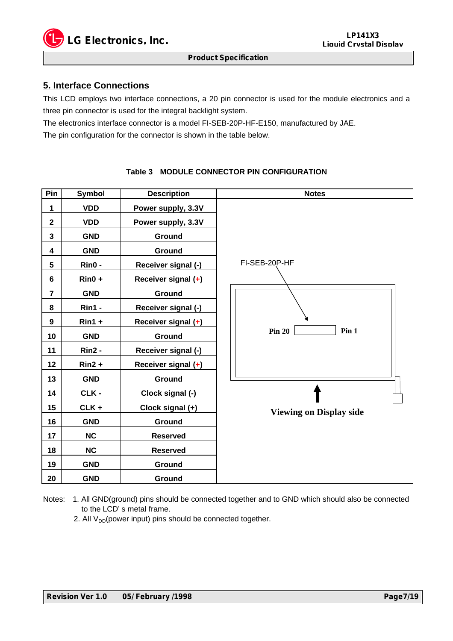

## **5. Interface Connections**

This LCD employs two interface connections, a 20 pin connector is used for the module electronics and a three pin connector is used for the integral backlight system.

The electronics interface connector is a model FI-SEB-20P-HF-E150, manufactured by JAE.

The pin configuration for the connector is shown in the table below.

## **Pin Symbol Description Notes 1 VDD Power supply, 3.3V 2 VDD Power supply, 3.3V 3 GND Ground 4 GND Ground 5 Rin0 - Receiver signal (-) 6 Rin0 + Receiver signal (+) 7 GND Ground 8 Rin1 - Receiver signal (-) 9 Rin1 + Receiver signal (+) 10 GND Ground 11 Rin2 - Receiver signal (-) 12 Rin2 + Receiver signal (+) 13 GND Ground 14 CLK - Clock signal (-) 15 CLK + Clock signal (+) 16 GND Ground 17 NC Reserved 18 NC Reserved 19 GND Ground 20 GND Ground** FI-SEB-20P-HF **Pin 20 Pin 1 Viewing on Display side**

**Table 3 MODULE CONNECTOR PIN CONFIGURATION**

Notes: 1. All GND(ground) pins should be connected together and to GND which should also be connected to the LCD' s metal frame.

2. All  $V_{DD}$ (power input) pins should be connected together.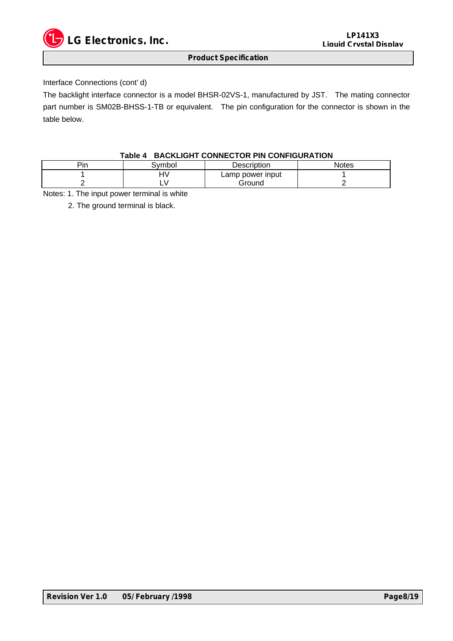

## Interface Connections (cont' d)

The backlight interface connector is a model BHSR-02VS-1, manufactured by JST. The mating connector part number is SM02B-BHSS-1-TB or equivalent. The pin configuration for the connector is shown in the table below.

## **Table 4 BACKLIGHT CONNECTOR PIN CONFIGURATION**

| Pin | Svmbol | <b>Description</b> | Notes |
|-----|--------|--------------------|-------|
|     | ۱۱.    | Lamp power input   |       |
|     |        | Ground             |       |

Notes: 1. The input power terminal is white

2. The ground terminal is black.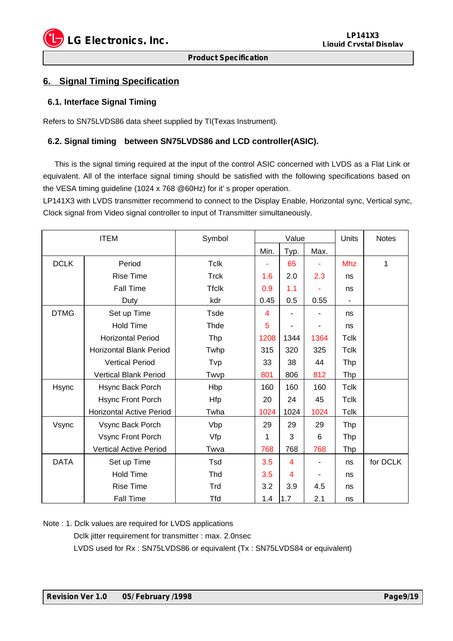

## **6. Signal Timing Specification**

## **6.1. Interface Signal Timing**

Refers to SN75LVDS86 data sheet supplied by TI(Texas Instrument).

## **6.2. Signal timing between SN75LVDS86 and LCD controller(ASIC).**

 This is the signal timing required at the input of the control ASIC concerned with LVDS as a Flat Link or equivalent. All of the interface signal timing should be satisfied with the following specifications based on the VESA timing guideline (1024 x 768 @60Hz) for it' s proper operation.

LP141X3 with LVDS transmitter recommend to connect to the Display Enable, Horizontal sync, Vertical sync, Clock signal from Video signal controller to input of Transmitter simultaneously.

| <b>ITEM</b> |                                 | Symbol       | Value                   |      |      | Units       | <b>Notes</b> |
|-------------|---------------------------------|--------------|-------------------------|------|------|-------------|--------------|
|             |                                 |              | Min.                    | Typ. | Max. |             |              |
| <b>DCLK</b> | Period                          | <b>Tclk</b>  |                         | 65   | ٠    | <b>Mhz</b>  | 1            |
|             | <b>Rise Time</b>                | <b>Trck</b>  | 1.6                     | 2.0  | 2.3  | ns          |              |
|             | <b>Fall Time</b>                | <b>Tfclk</b> | 0.9                     | 1.1  |      | ns          |              |
|             | Duty                            | kdr          | 0.45                    | 0.5  | 0.55 |             |              |
| <b>DTMG</b> | Set up Time                     | <b>Tsde</b>  | $\overline{\mathbf{4}}$ |      |      | ns          |              |
|             | <b>Hold Time</b>                | Thde         | 5                       |      | ٠    | ns          |              |
|             | <b>Horizontal Period</b>        | <b>Thp</b>   | 1208                    | 1344 | 1364 | Tclk        |              |
|             | <b>Horizontal Blank Period</b>  | Twhp         | 315                     | 320  | 325  | Tclk        |              |
|             | <b>Vertical Period</b>          | Tvp          | 33                      | 38   | 44   | Thp         |              |
|             | Vertical Blank Period           | Twvp         | 801                     | 806  | 812  | Thp         |              |
| Hsync       | Hsync Back Porch                | Hbp          | 160                     | 160  | 160  | <b>Tclk</b> |              |
|             | Hsync Front Porch               | Hfp          | 20                      | 24   | 45   | <b>Tclk</b> |              |
|             | <b>Horizontal Active Period</b> | Twha         | 1024                    | 1024 | 1024 | <b>Tclk</b> |              |
| Vsync       | Vsync Back Porch                | Vbp          | 29                      | 29   | 29   | Thp         |              |
|             | Vsync Front Porch               | Vfp          | 1                       | 3    | 6    | <b>Thp</b>  |              |
|             | <b>Vertical Active Period</b>   | Twva         | 768                     | 768  | 768  | Thp         |              |
| <b>DATA</b> | Set up Time                     | Tsd          | 3.5                     | 4    |      | ns          | for DCLK     |
|             | <b>Hold Time</b>                | Thd          | 3.5                     | 4    |      | ns          |              |
|             | <b>Rise Time</b>                | Trd          | 3.2                     | 3.9  | 4.5  | ns          |              |
|             | Fall Time                       | <b>Tfd</b>   | 1.4                     | 1.7  | 2.1  | ns          |              |

Note : 1. Dclk values are required for LVDS applications

Dclk jitter requirement for transmitter : max. 2.0nsec

LVDS used for Rx : SN75LVDS86 or equivalent (Tx : SN75LVDS84 or equivalent)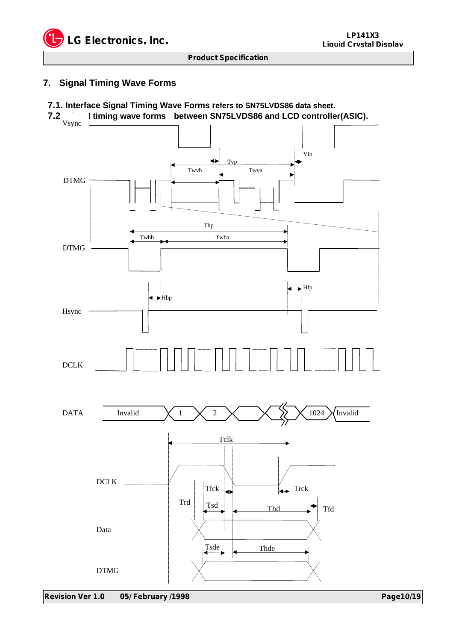

## **7. Signal Timing Wave Forms**

## **7.1. Interface Signal Timing Wave Forms refers to SN75LVDS86 data sheet.**

**1.2. Itiming wave forms between SN75LVDS86 and LCD controller(ASIC).** 

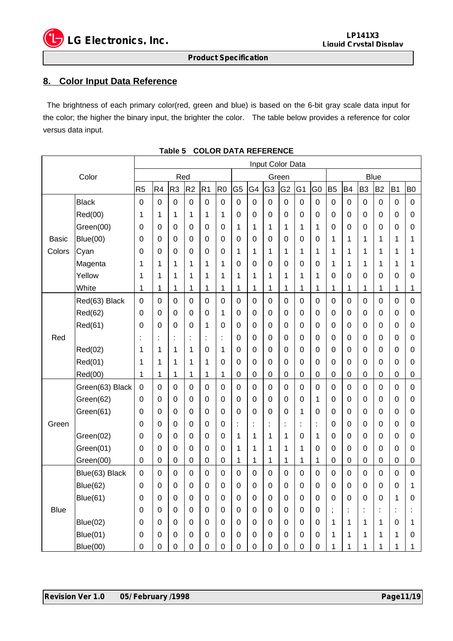

## **8. Color Input Data Reference**

 The brightness of each primary color(red, green and blue) is based on the 6-bit gray scale data input for the color; the higher the binary input, the brighter the color. The table below provides a reference for color versus data input.

| Color                  |                 | Input Color Data |                |                      |                |                  |                |                |                  |                |                |                      |                  |                |                |                |                |                |                  |
|------------------------|-----------------|------------------|----------------|----------------------|----------------|------------------|----------------|----------------|------------------|----------------|----------------|----------------------|------------------|----------------|----------------|----------------|----------------|----------------|------------------|
|                        |                 | Red              |                |                      |                | Green            |                |                |                  |                | <b>Blue</b>    |                      |                  |                |                |                |                |                |                  |
|                        |                 | R <sub>5</sub>   | R <sub>4</sub> | R <sub>3</sub>       | R <sub>2</sub> | R <sub>1</sub>   | R <sub>0</sub> | G <sub>5</sub> | G4               | G <sub>3</sub> | G <sub>2</sub> | G <sub>1</sub>       | G0               | B <sub>5</sub> | B <sub>4</sub> | B <sub>3</sub> | B <sub>2</sub> | B <sub>1</sub> | B <sub>0</sub>   |
| <b>Basic</b><br>Colors | <b>Black</b>    | $\mathbf 0$      | 0              | $\mathbf 0$          | $\mathbf 0$    | $\mathbf 0$      | 0              | $\mathbf 0$    | $\mathbf 0$      | 0              | $\mathbf 0$    | $\mathbf 0$          | $\boldsymbol{0}$ | 0              | 0              | $\mathbf 0$    | 0              | $\mathbf 0$    | $\mathbf 0$      |
|                        | Red(00)         | 1                | 1              | 1                    | 1              | 1                | 1              | 0              | 0                | 0              | 0              | 0                    | 0                | 0              | 0              | 0              | 0              | 0              | 0                |
|                        | Green(00)       | 0                | 0              | 0                    | $\mathbf 0$    | $\mathbf 0$      | $\mathbf 0$    | 1              | 1                | 1              | $\mathbf 1$    | 1                    | 1                | 0              | 0              | $\mathbf 0$    | $\mathbf 0$    | $\mathbf 0$    | 0                |
|                        | Blue(00)        | 0                | 0              | 0                    | 0              | 0                | 0              | 0              | 0                | 0              | 0              | 0                    | 0                | 1              | 1              | 1              | 1              | 1              | 1                |
|                        | Cyan            | 0                | 0              | 0                    | $\mathbf 0$    | 0                | 0              | 1              | 1                | 1              | 1              | 1                    | 1                | 1              | 1              | 1              | 1              | 1              | 1                |
|                        | Magenta         | 1                | 1              | 1                    | 1              | 1                | 1              | 0              | 0                | 0              | $\mathbf 0$    | 0                    | 0                | 1              | 1              | 1              | 1              | 1              | 1                |
|                        | Yellow          | 1                | 1              | 1                    | 1              | 1                | 1              | 1              | 1                | 1              | 1              | 1                    | 1                | 0              | $\mathbf 0$    | $\mathbf 0$    | $\mathbf 0$    | 0              | 0                |
|                        | White           | 1                | 1              | 1                    | 1              | 1                | 1              | 1              | 1                | 1              | $\mathbf{1}$   | 1                    | 1                | 1              | 1              | 1              | 1              | 1              | 1                |
|                        | Red(63) Black   | $\boldsymbol{0}$ | 0              | 0                    | $\mathbf 0$    | $\mathbf 0$      | $\mathbf 0$    | $\mathbf 0$    | $\boldsymbol{0}$ | 0              | $\mathbf 0$    | $\mathbf 0$          | $\mathsf 0$      | 0              | 0              | 0              | $\mathbf 0$    | $\mathbf 0$    | $\mathbf 0$      |
|                        | Red(62)         | 0                | 0              | 0                    | 0              | 0                | 1              | 0              | $\boldsymbol{0}$ | 0              | $\mathbf 0$    | 0                    | 0                | 0              | 0              | 0              | $\mathbf 0$    | 0              | $\boldsymbol{0}$ |
| Red                    | Red(61)         | 0                | 0              | 0                    | 0              | 1                | 0              | 0              | 0                | 0              | $\mathbf 0$    | 0                    | 0                | 0              | 0              | 0              | 0              | 0              | 0                |
|                        |                 | $\ddot{\cdot}$   | İ,             | $\ddot{\phantom{a}}$ | $\ddot{\cdot}$ | $\ddot{\cdot}$   | Ì              | 0              | 0                | 0              | $\mathbf 0$    | 0                    | 0                | 0              | 0              | 0              | 0              | 0              | 0                |
|                        | Red(02)         | 1                | 1              | 1                    | 1              | 0                | 1              | 0              | 0                | 0              | 0              | 0                    | 0                | 0              | 0              | 0              | 0              | 0              | 0                |
|                        | Red(01)         | 1                | 1              | 1                    | 1              | 1                | 0              | 0              | 0                | 0              | 0              | 0                    | 0                | 0              | 0              | 0              | 0              | 0              | 0                |
|                        | Red(00)         | 1                | 1              | 1                    | 1              | 1                | 1              | 0              | $\boldsymbol{0}$ | 0              | $\mathbf 0$    | 0                    | 0                | 0              | $\mathbf 0$    | $\mathbf 0$    | $\mathbf 0$    | 0              | 0                |
|                        | Green(63) Black | $\mathbf 0$      | 0              | $\mathbf 0$          | $\mathbf 0$    | $\mathbf 0$      | $\mathbf 0$    | $\mathbf 0$    | $\mathbf 0$      | 0              | $\overline{0}$ | 0                    | $\overline{0}$   | $\mathbf 0$    | 0              | 0              | $\mathbf 0$    | $\mathbf 0$    | $\mathbf 0$      |
|                        | Green(62)       | 0                | 0              | 0                    | 0              | 0                | 0              | 0              | 0                | 0              | $\mathbf 0$    | 0                    | 1                | 0              | 0              | 0              | $\Omega$       | 0              | 0                |
| Green                  | Green(61)       | 0                | 0              | $\mathbf 0$          | 0              | $\mathbf 0$      | $\mathbf 0$    | 0              | $\boldsymbol{0}$ | 0              | $\mathbf 0$    | 1                    | 0                | 0              | $\pmb{0}$      | $\Omega$       | $\mathbf 0$    | 0              | $\mathbf 0$      |
|                        |                 | 0                | 0              | 0                    | $\overline{0}$ | $\mathbf 0$      | $\mathbf 0$    | $\ddot{\cdot}$ | t                | t              | t              | $\ddot{\phantom{a}}$ | t,               | 0              | 0              | $\overline{0}$ | $\mathbf 0$    | $\mathbf 0$    | 0                |
|                        | Green(02)       | 0                | 0              | 0                    | 0              | 0                | 0              | 1              | 1                | 1              | $\mathbf{1}$   | 0                    | 1                | 0              | 0              | 0              | 0              | 0              | 0                |
|                        | Green(01)       | 0                | 0              | $\Omega$             | 0              | 0                | 0              | 1              | 1                | 1              | 1              | 1                    | 0                | 0              | 0              | 0              | $\Omega$       | 0              | 0                |
|                        | Green(00)       | $\boldsymbol{0}$ | 0              | $\boldsymbol{0}$     | $\mathbf 0$    | $\boldsymbol{0}$ | 0              | 1              | 1                | 1              | $\mathbf 1$    | 1                    | 1                | $\mathbf 0$    | $\pmb{0}$      | $\mathbf 0$    | $\mathbf 0$    | 0              | $\boldsymbol{0}$ |
| <b>Blue</b>            | Blue(63) Black  | 0                | 0              | 0                    | 0              | 0                | 0              | $\mathbf 0$    | $\mathbf 0$      | 0              | $\mathbf 0$    | 0                    | 0                | 0              | 0              | 0              | 0              | $\mathbf 0$    | $\mathbf 0$      |
|                        | Blue(62)        | 0                | 0              | $\mathbf 0$          | 0              | 0                | 0              | 0              | $\boldsymbol{0}$ | 0              | $\mathbf 0$    | 0                    | 0                | 0              | 0              | 0              | 0              | 0              | 1                |
|                        | Blue(61)        | 0                | 0              | 0                    | $\mathbf 0$    | $\mathbf 0$      | $\mathbf 0$    | 0              | $\mathbf 0$      | 0              | $\mathbf 0$    | 0                    | 0                | 0              | 0              | $\mathbf 0$    | $\mathbf 0$    | 1              | 0                |
|                        |                 | 0                | 0              | 0                    | 0              | 0                | 0              | 0              | 0                | 0              | $\mathbf 0$    | 0                    | 0                | $\, ,$         | ÷              | t              | t              | İ              |                  |
|                        | Blue(02)        | 0                | 0              | 0                    | 0              | 0                | 0              | 0              | 0                | 0              | 0              | 0                    | 0                | 1              | 1              | 1              | 1              | 0              | 1                |
|                        | Blue(01)        | 0                | 0              | 0                    | 0              | 0                | 0              | 0              | 0                | 0              | $\mathbf 0$    | 0                    | 0                | 1              | 1              | 1              | 1              | 1              | 0                |
|                        | Blue(00)        | 0                | 0              | 0                    | 0              | $\mathbf 0$      | 0              | 0              | 0                | 0              | $\mathbf 0$    | 0                    | 0                | 1              | 1              | 1              | 1              | 1              | 1                |

**Table 5 COLOR DATA REFERENCE**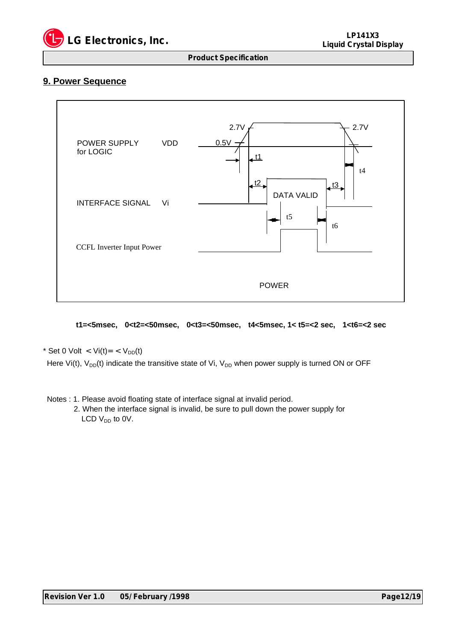

## **9. Power Sequence**



 **t1=<5msec, 0<t2=<50msec, 0<t3=<50msec, t4<5msec, 1< t5=<2 sec, 1<t6=<2 sec**

\* Set 0 Volt < Vi(t)= <  $V_{DD}(t)$ 

Here Vi(t),  $V_{DD}(t)$  indicate the transitive state of Vi,  $V_{DD}$  when power supply is turned ON or OFF

Notes : 1. Please avoid floating state of interface signal at invalid period.

 2. When the interface signal is invalid, be sure to pull down the power supply for LCD  $V_{DD}$  to 0V.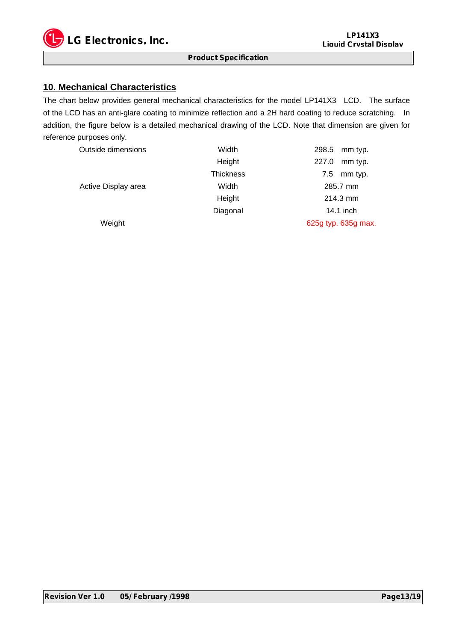

## **10. Mechanical Characteristics**

The chart below provides general mechanical characteristics for the model LP141X3 LCD. The surface of the LCD has an anti-glare coating to minimize reflection and a 2H hard coating to reduce scratching. In addition, the figure below is a detailed mechanical drawing of the LCD. Note that dimension are given for reference purposes only.

| Outside dimensions  | Width            | 298.5 mm typ.       |  |  |  |  |  |
|---------------------|------------------|---------------------|--|--|--|--|--|
|                     | Height           | 227.0<br>mm typ.    |  |  |  |  |  |
|                     | <b>Thickness</b> | mm typ.<br>7.5      |  |  |  |  |  |
| Active Display area | Width            | 285.7 mm            |  |  |  |  |  |
|                     | Height           | 214.3 mm            |  |  |  |  |  |
|                     | Diagonal         | 14.1 inch           |  |  |  |  |  |
| Weight              |                  | 625g typ. 635g max. |  |  |  |  |  |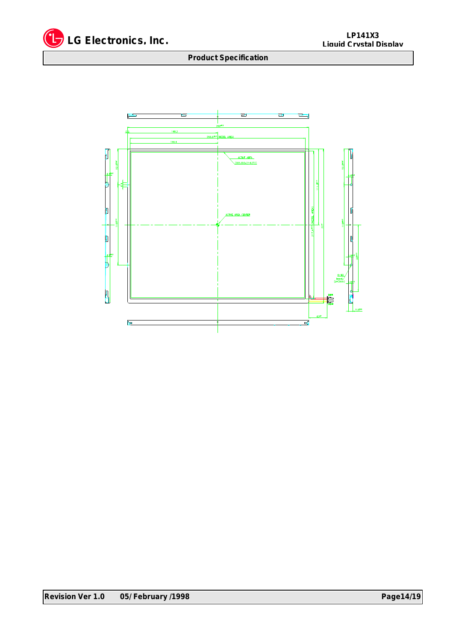

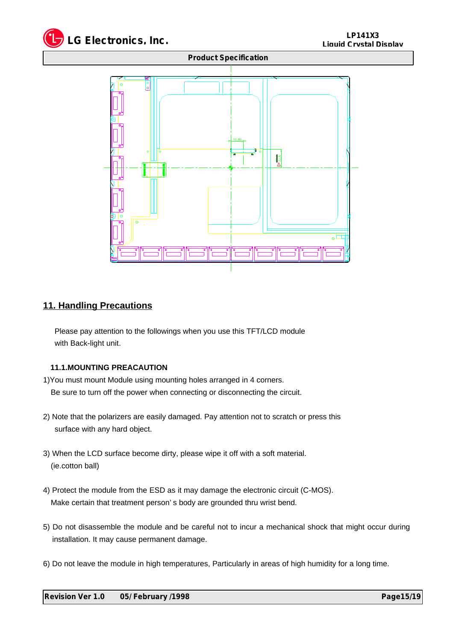

![](_page_14_Figure_2.jpeg)

## **11. Handling Precautions**

 Please pay attention to the followings when you use this TFT/LCD module with Back-light unit.

## **11.1.MOUNTING PREACAUTION**

- 1)You must mount Module using mounting holes arranged in 4 corners. Be sure to turn off the power when connecting or disconnecting the circuit.
- 2) Note that the polarizers are easily damaged. Pay attention not to scratch or press this surface with any hard object.
- 3) When the LCD surface become dirty, please wipe it off with a soft material. (ie.cotton ball)
- 4) Protect the module from the ESD as it may damage the electronic circuit (C-MOS). Make certain that treatment person' s body are grounded thru wrist bend.
- 5) Do not disassemble the module and be careful not to incur a mechanical shock that might occur during installation. It may cause permanent damage.
- 6) Do not leave the module in high temperatures, Particularly in areas of high humidity for a long time.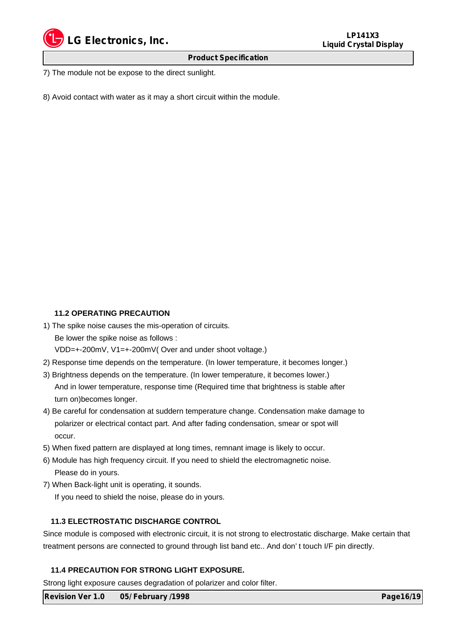![](_page_15_Picture_0.jpeg)

7) The module not be expose to the direct sunlight.

8) Avoid contact with water as it may a short circuit within the module.

## **11.2 OPERATING PRECAUTION**

1) The spike noise causes the mis-operation of circuits.

Be lower the spike noise as follows :

VDD=+-200mV, V1=+-200mV( Over and under shoot voltage.)

- 2) Response time depends on the temperature. (In lower temperature, it becomes longer.)
- 3) Brightness depends on the temperature. (In lower temperature, it becomes lower.) And in lower temperature, response time (Required time that brightness is stable after turn on)becomes longer.
- 4) Be careful for condensation at suddern temperature change. Condensation make damage to polarizer or electrical contact part. And after fading condensation, smear or spot will occur.
- 5) When fixed pattern are displayed at long times, remnant image is likely to occur.
- 6) Module has high frequency circuit. If you need to shield the electromagnetic noise. Please do in yours.
- 7) When Back-light unit is operating, it sounds.

If you need to shield the noise, please do in yours.

## **11.3 ELECTROSTATIC DISCHARGE CONTROL**

Since module is composed with electronic circuit, it is not strong to electrostatic discharge. Make certain that treatment persons are connected to ground through list band etc.. And don' t touch I/F pin directly.

## **11.4 PRECAUTION FOR STRONG LIGHT EXPOSURE.**

Strong light exposure causes degradation of polarizer and color filter.

**Revision Ver 1.0 05/ February /1998 Page16/19 Page16/19**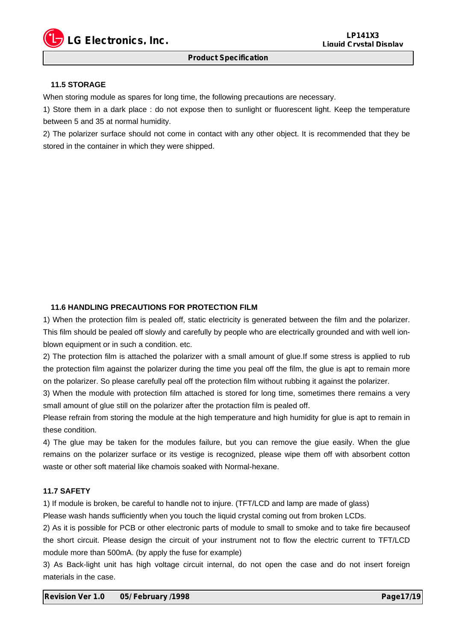![](_page_16_Picture_0.jpeg)

#### **11.5 STORAGE**

When storing module as spares for long time, the following precautions are necessary.

1) Store them in a dark place : do not expose then to sunlight or fluorescent light. Keep the temperature between 5 and 35 at normal humidity.

2) The polarizer surface should not come in contact with any other object. It is recommended that they be stored in the container in which they were shipped.

#### **11.6 HANDLING PRECAUTIONS FOR PROTECTION FILM**

1) When the protection film is pealed off, static electricity is generated between the film and the polarizer. This film should be pealed off slowly and carefully by people who are electrically grounded and with well ionblown equipment or in such a condition. etc.

2) The protection film is attached the polarizer with a small amount of glue.If some stress is applied to rub the protection film against the polarizer during the time you peal off the film, the glue is apt to remain more on the polarizer. So please carefully peal off the protection film without rubbing it against the polarizer.

3) When the module with protection film attached is stored for long time, sometimes there remains a very small amount of glue still on the polarizer after the protaction film is pealed off.

Please refrain from storing the module at the high temperature and high humidity for glue is apt to remain in these condition.

4) The glue may be taken for the modules failure, but you can remove the giue easily. When the glue remains on the polarizer surface or its vestige is recognized, please wipe them off with absorbent cotton waste or other soft material like chamois soaked with Normal-hexane.

## **11.7 SAFETY**

1) If module is broken, be careful to handle not to injure. (TFT/LCD and lamp are made of glass)

Please wash hands sufficiently when you touch the liquid crystal coming out from broken LCDs.

2) As it is possible for PCB or other electronic parts of module to small to smoke and to take fire becauseof the short circuit. Please design the circuit of your instrument not to flow the electric current to TFT/LCD module more than 500mA. (by apply the fuse for example)

3) As Back-light unit has high voltage circuit internal, do not open the case and do not insert foreign materials in the case.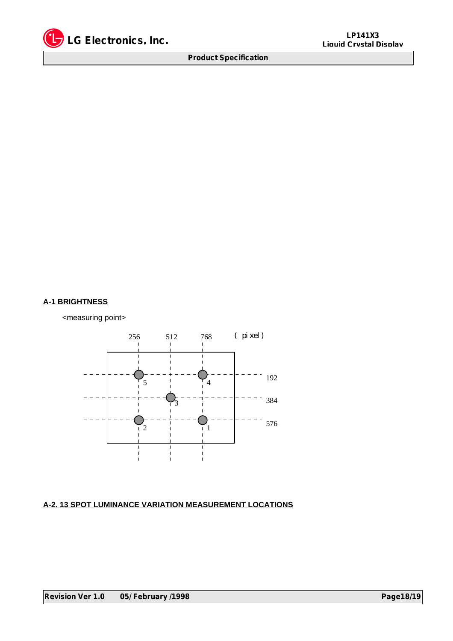![](_page_17_Picture_0.jpeg)

## **A-1 BRIGHTNESS**

<measuring point>

![](_page_17_Figure_5.jpeg)

## **A-2. 13 SPOT LUMINANCE VARIATION MEASUREMENT LOCATIONS**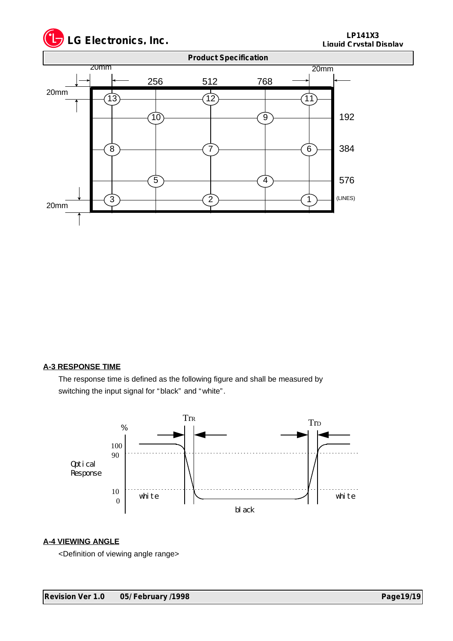![](_page_18_Picture_0.jpeg)

![](_page_18_Figure_2.jpeg)

## **A-3 RESPONSE TIME**

 The response time is defined as the following figure and shall be measured by switching the input signal for "black" and "white".

![](_page_18_Figure_5.jpeg)

## **A-4 VIEWING ANGLE**

<Definition of viewing angle range>